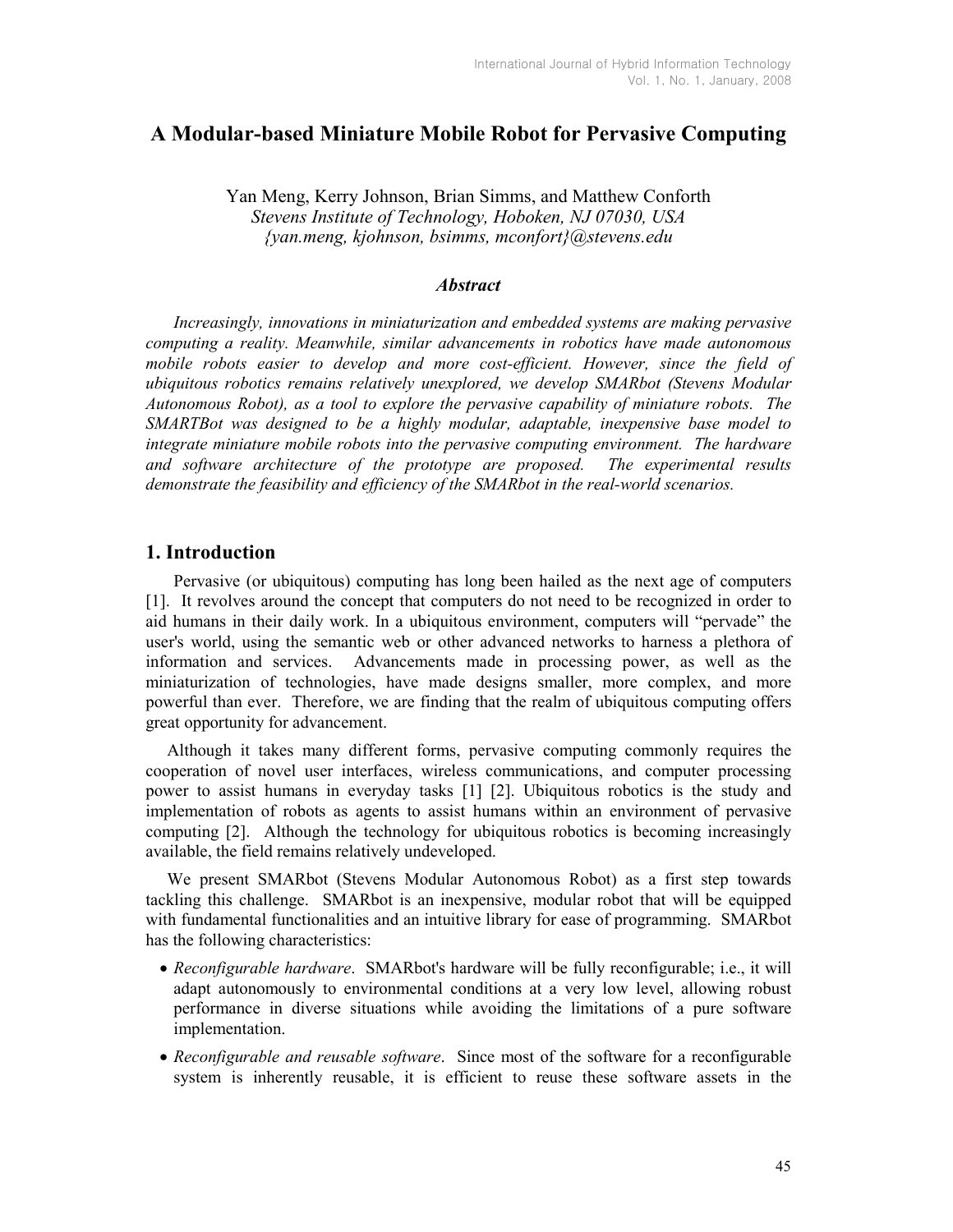# A Modular-based Miniature Mobile Robot for Pervasive Computing

Yan Meng, Kerry Johnson, Brian Simms, and Matthew Conforth Stevens Institute of Technology, Hoboken, NJ 07030, USA {yan.meng, kjohnson, bsimms, mconfort}@stevens.edu

#### **Abstract**

Increasingly, innovations in miniaturization and embedded systems are making pervasive computing a reality. Meanwhile, similar advancements in robotics have made autonomous mobile robots easier to develop and more cost-efficient. However, since the field of ubiquitous robotics remains relatively unexplored, we develop SMARbot (Stevens Modular Autonomous Robot), as a tool to explore the pervasive capability of miniature robots. The SMARTBot was designed to be a highly modular, adaptable, inexpensive base model to integrate miniature mobile robots into the pervasive computing environment. The hardware and software architecture of the prototype are proposed. The experimental results demonstrate the feasibility and efficiency of the SMARbot in the real-world scenarios.

## 1. Introduction

Pervasive (or ubiquitous) computing has long been hailed as the next age of computers [1]. It revolves around the concept that computers do not need to be recognized in order to aid humans in their daily work. In a ubiquitous environment, computers will "pervade" the user's world, using the semantic web or other advanced networks to harness a plethora of information and services. Advancements made in processing power, as well as the miniaturization of technologies, have made designs smaller, more complex, and more powerful than ever. Therefore, we are finding that the realm of ubiquitous computing offers great opportunity for advancement.

 Although it takes many different forms, pervasive computing commonly requires the cooperation of novel user interfaces, wireless communications, and computer processing power to assist humans in everyday tasks [1] [2]. Ubiquitous robotics is the study and implementation of robots as agents to assist humans within an environment of pervasive computing [2]. Although the technology for ubiquitous robotics is becoming increasingly available, the field remains relatively undeveloped.

 We present SMARbot (Stevens Modular Autonomous Robot) as a first step towards tackling this challenge. SMARbot is an inexpensive, modular robot that will be equipped with fundamental functionalities and an intuitive library for ease of programming. SMARbot has the following characteristics:

- Reconfigurable hardware. SMARbot's hardware will be fully reconfigurable; i.e., it will adapt autonomously to environmental conditions at a very low level, allowing robust performance in diverse situations while avoiding the limitations of a pure software implementation.
- Reconfigurable and reusable software. Since most of the software for a reconfigurable system is inherently reusable, it is efficient to reuse these software assets in the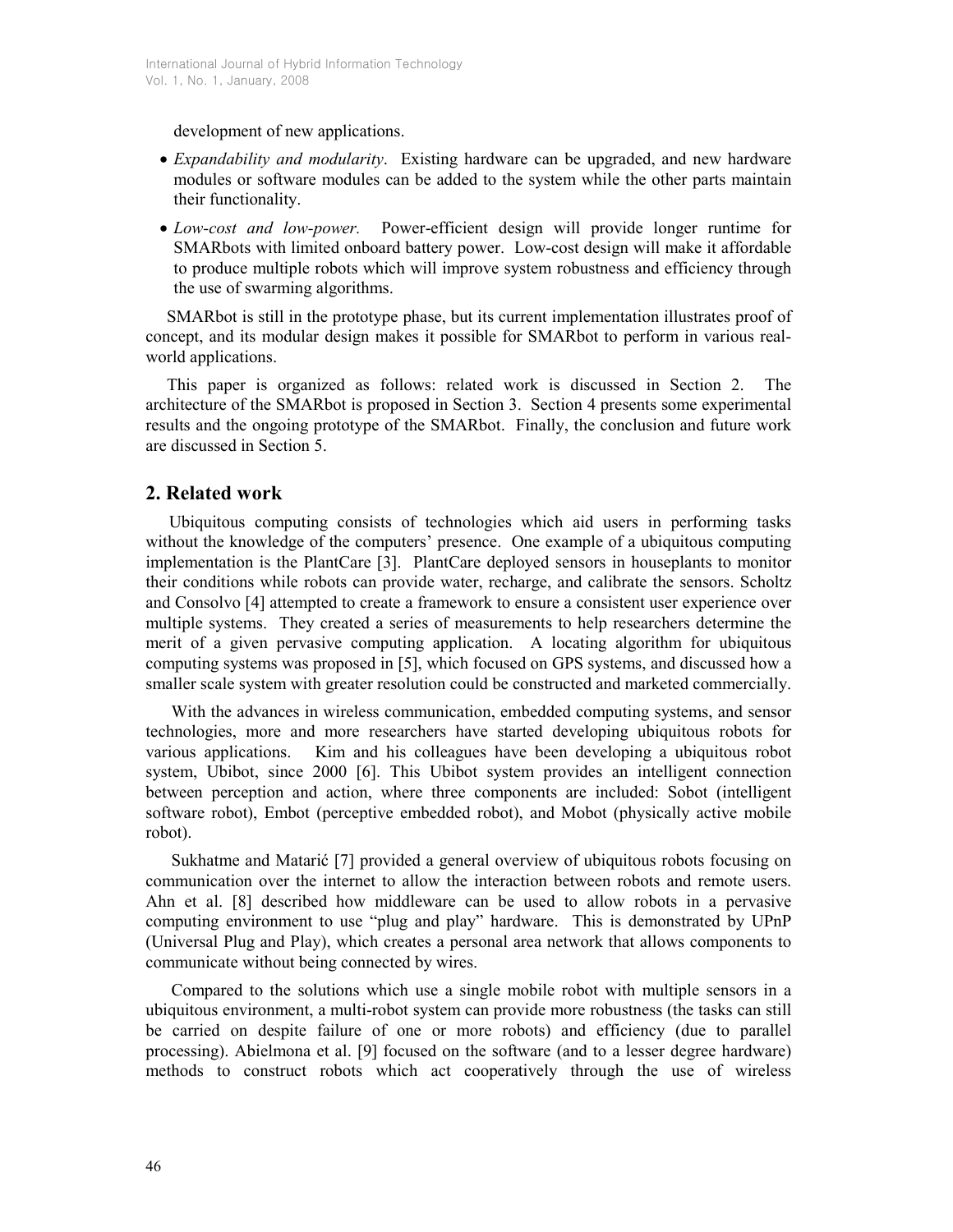development of new applications.

- *Expandability and modularity.* Existing hardware can be upgraded, and new hardware modules or software modules can be added to the system while the other parts maintain their functionality.
- Low-cost and low-power. Power-efficient design will provide longer runtime for SMARbots with limited onboard battery power. Low-cost design will make it affordable to produce multiple robots which will improve system robustness and efficiency through the use of swarming algorithms.

SMARbot is still in the prototype phase, but its current implementation illustrates proof of concept, and its modular design makes it possible for SMARbot to perform in various realworld applications.

This paper is organized as follows: related work is discussed in Section 2. The architecture of the SMARbot is proposed in Section 3. Section 4 presents some experimental results and the ongoing prototype of the SMARbot. Finally, the conclusion and future work are discussed in Section 5.

# 2. Related work

 Ubiquitous computing consists of technologies which aid users in performing tasks without the knowledge of the computers' presence. One example of a ubiquitous computing implementation is the PlantCare [3]. PlantCare deployed sensors in houseplants to monitor their conditions while robots can provide water, recharge, and calibrate the sensors. Scholtz and Consolvo [4] attempted to create a framework to ensure a consistent user experience over multiple systems. They created a series of measurements to help researchers determine the merit of a given pervasive computing application. A locating algorithm for ubiquitous computing systems was proposed in [5], which focused on GPS systems, and discussed how a smaller scale system with greater resolution could be constructed and marketed commercially.

 With the advances in wireless communication, embedded computing systems, and sensor technologies, more and more researchers have started developing ubiquitous robots for various applications. Kim and his colleagues have been developing a ubiquitous robot system, Ubibot, since 2000 [6]. This Ubibot system provides an intelligent connection between perception and action, where three components are included: Sobot (intelligent software robot), Embot (perceptive embedded robot), and Mobot (physically active mobile robot).

 Sukhatme and Matarić [7] provided a general overview of ubiquitous robots focusing on communication over the internet to allow the interaction between robots and remote users. Ahn et al. [8] described how middleware can be used to allow robots in a pervasive computing environment to use "plug and play" hardware. This is demonstrated by UPnP (Universal Plug and Play), which creates a personal area network that allows components to communicate without being connected by wires.

 Compared to the solutions which use a single mobile robot with multiple sensors in a ubiquitous environment, a multi-robot system can provide more robustness (the tasks can still be carried on despite failure of one or more robots) and efficiency (due to parallel processing). Abielmona et al. [9] focused on the software (and to a lesser degree hardware) methods to construct robots which act cooperatively through the use of wireless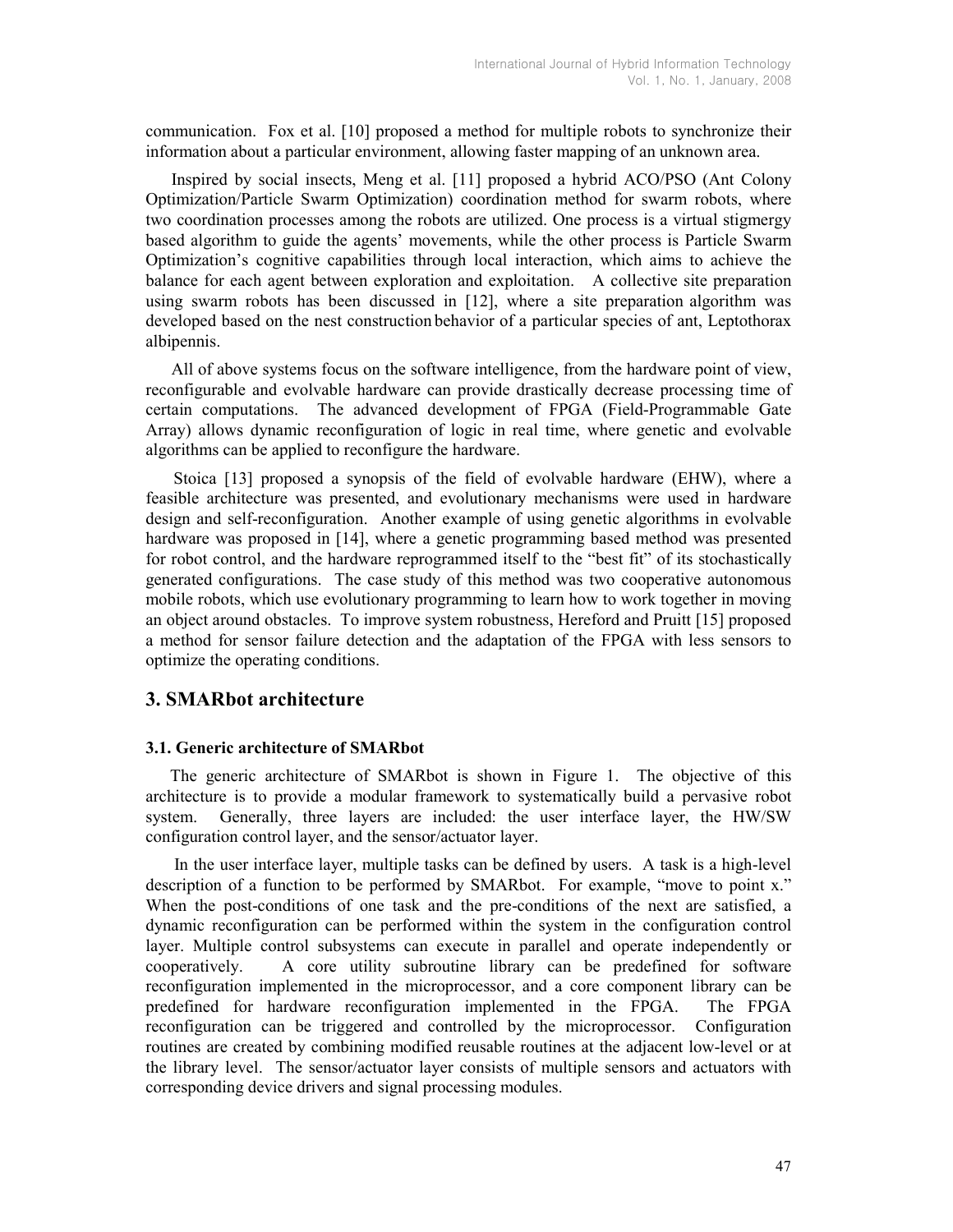communication. Fox et al. [10] proposed a method for multiple robots to synchronize their information about a particular environment, allowing faster mapping of an unknown area.

 Inspired by social insects, Meng et al. [11] proposed a hybrid ACO/PSO (Ant Colony Optimization/Particle Swarm Optimization) coordination method for swarm robots, where two coordination processes among the robots are utilized. One process is a virtual stigmergy based algorithm to guide the agents' movements, while the other process is Particle Swarm Optimization's cognitive capabilities through local interaction, which aims to achieve the balance for each agent between exploration and exploitation. A collective site preparation using swarm robots has been discussed in [12], where a site preparation algorithm was developed based on the nest construction behavior of a particular species of ant, Leptothorax albipennis.

 All of above systems focus on the software intelligence, from the hardware point of view, reconfigurable and evolvable hardware can provide drastically decrease processing time of certain computations. The advanced development of FPGA (Field-Programmable Gate Array) allows dynamic reconfiguration of logic in real time, where genetic and evolvable algorithms can be applied to reconfigure the hardware.

Stoica [13] proposed a synopsis of the field of evolvable hardware (EHW), where a feasible architecture was presented, and evolutionary mechanisms were used in hardware design and self-reconfiguration. Another example of using genetic algorithms in evolvable hardware was proposed in [14], where a genetic programming based method was presented for robot control, and the hardware reprogrammed itself to the "best fit" of its stochastically generated configurations. The case study of this method was two cooperative autonomous mobile robots, which use evolutionary programming to learn how to work together in moving an object around obstacles. To improve system robustness, Hereford and Pruitt [15] proposed a method for sensor failure detection and the adaptation of the FPGA with less sensors to optimize the operating conditions.

## 3. SMARbot architecture

#### 3.1. Generic architecture of SMARbot

 The generic architecture of SMARbot is shown in Figure 1. The objective of this architecture is to provide a modular framework to systematically build a pervasive robot system. Generally, three layers are included: the user interface layer, the HW/SW configuration control layer, and the sensor/actuator layer.

 In the user interface layer, multiple tasks can be defined by users. A task is a high-level description of a function to be performed by SMARbot. For example, "move to point x." When the post-conditions of one task and the pre-conditions of the next are satisfied, a dynamic reconfiguration can be performed within the system in the configuration control layer. Multiple control subsystems can execute in parallel and operate independently or cooperatively. A core utility subroutine library can be predefined for software reconfiguration implemented in the microprocessor, and a core component library can be predefined for hardware reconfiguration implemented in the FPGA. The FPGA reconfiguration can be triggered and controlled by the microprocessor. Configuration routines are created by combining modified reusable routines at the adjacent low-level or at the library level. The sensor/actuator layer consists of multiple sensors and actuators with corresponding device drivers and signal processing modules.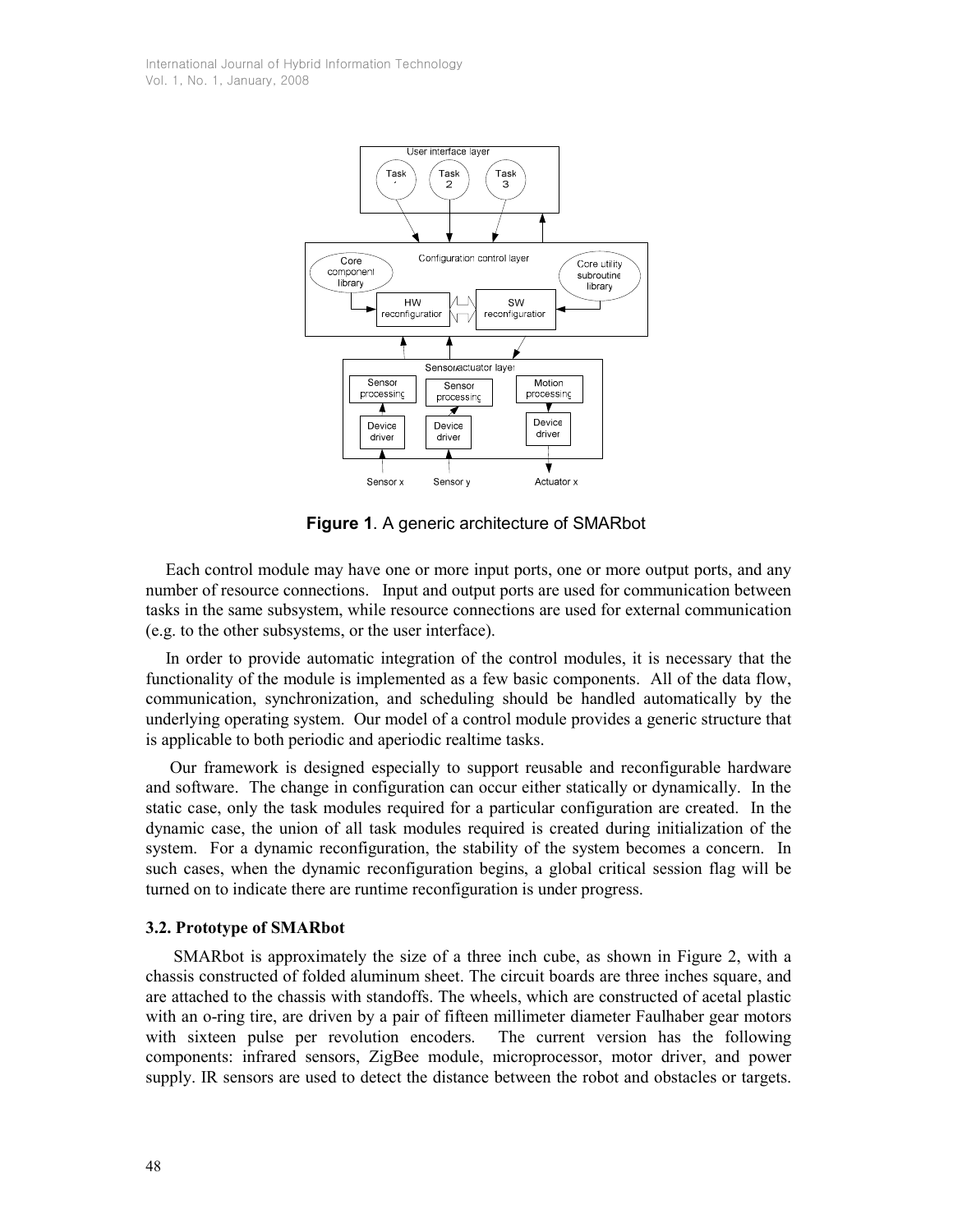

Figure 1. A generic architecture of SMARbot

 Each control module may have one or more input ports, one or more output ports, and any number of resource connections. Input and output ports are used for communication between tasks in the same subsystem, while resource connections are used for external communication (e.g. to the other subsystems, or the user interface).

 In order to provide automatic integration of the control modules, it is necessary that the functionality of the module is implemented as a few basic components. All of the data flow, communication, synchronization, and scheduling should be handled automatically by the underlying operating system. Our model of a control module provides a generic structure that is applicable to both periodic and aperiodic realtime tasks.

 Our framework is designed especially to support reusable and reconfigurable hardware and software. The change in configuration can occur either statically or dynamically. In the static case, only the task modules required for a particular configuration are created. In the dynamic case, the union of all task modules required is created during initialization of the system. For a dynamic reconfiguration, the stability of the system becomes a concern. In such cases, when the dynamic reconfiguration begins, a global critical session flag will be turned on to indicate there are runtime reconfiguration is under progress.

#### 3.2. Prototype of SMARbot

SMARbot is approximately the size of a three inch cube, as shown in Figure 2, with a chassis constructed of folded aluminum sheet. The circuit boards are three inches square, and are attached to the chassis with standoffs. The wheels, which are constructed of acetal plastic with an o-ring tire, are driven by a pair of fifteen millimeter diameter Faulhaber gear motors with sixteen pulse per revolution encoders. The current version has the following components: infrared sensors, ZigBee module, microprocessor, motor driver, and power supply. IR sensors are used to detect the distance between the robot and obstacles or targets.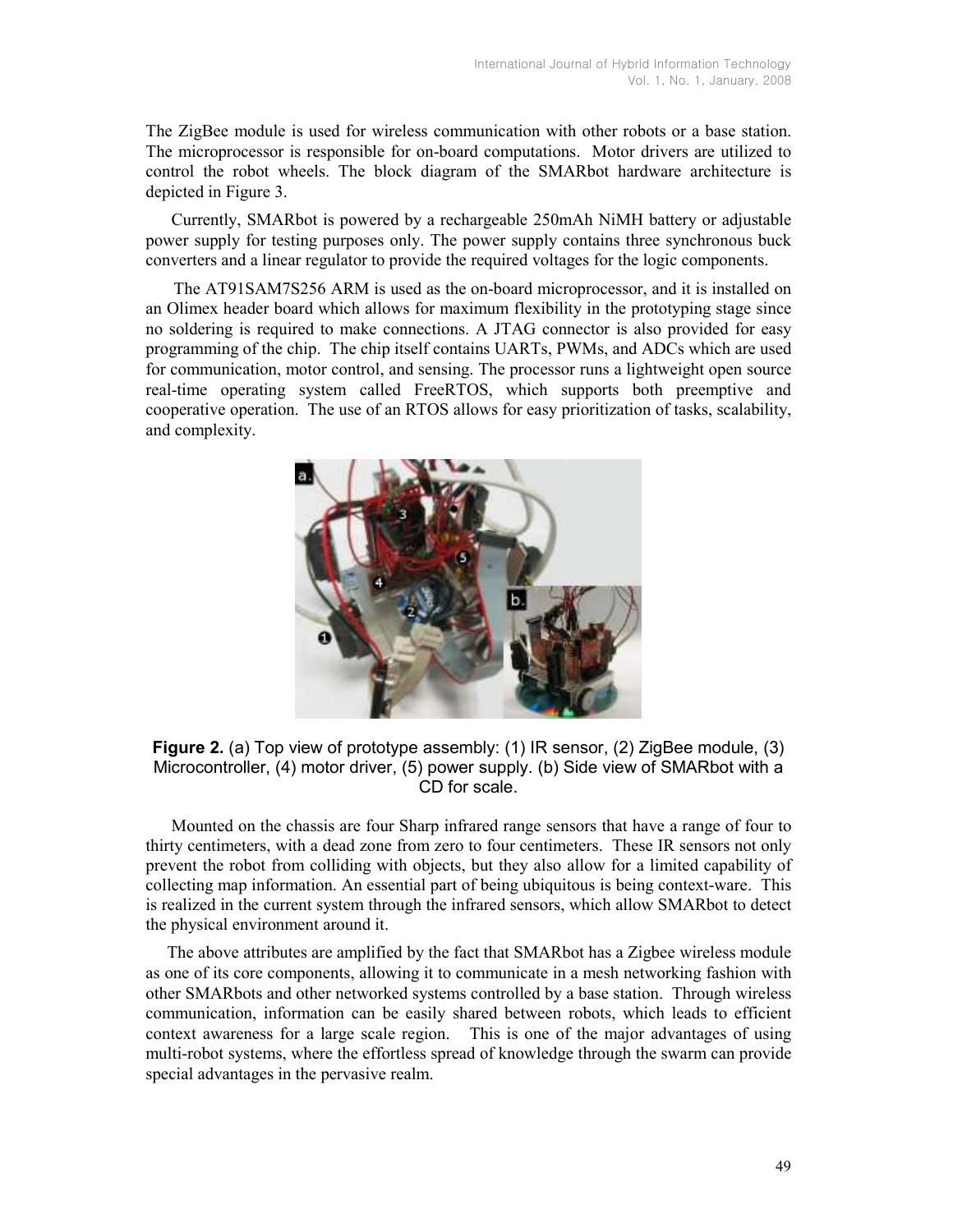The ZigBee module is used for wireless communication with other robots or a base station. The microprocessor is responsible for on-board computations. Motor drivers are utilized to control the robot wheels. The block diagram of the SMARbot hardware architecture is depicted in Figure 3.

 Currently, SMARbot is powered by a rechargeable 250mAh NiMH battery or adjustable power supply for testing purposes only. The power supply contains three synchronous buck converters and a linear regulator to provide the required voltages for the logic components.

The AT91SAM7S256 ARM is used as the on-board microprocessor, and it is installed on an Olimex header board which allows for maximum flexibility in the prototyping stage since no soldering is required to make connections. A JTAG connector is also provided for easy programming of the chip. The chip itself contains UARTs, PWMs, and ADCs which are used for communication, motor control, and sensing. The processor runs a lightweight open source real-time operating system called FreeRTOS, which supports both preemptive and cooperative operation. The use of an RTOS allows for easy prioritization of tasks, scalability, and complexity.



Figure 2. (a) Top view of prototype assembly: (1) IR sensor, (2) ZigBee module, (3) Microcontroller, (4) motor driver, (5) power supply. (b) Side view of SMARbot with a CD for scale.

 Mounted on the chassis are four Sharp infrared range sensors that have a range of four to thirty centimeters, with a dead zone from zero to four centimeters. These IR sensors not only prevent the robot from colliding with objects, but they also allow for a limited capability of collecting map information. An essential part of being ubiquitous is being context-ware. This is realized in the current system through the infrared sensors, which allow SMARbot to detect the physical environment around it.

 The above attributes are amplified by the fact that SMARbot has a Zigbee wireless module as one of its core components, allowing it to communicate in a mesh networking fashion with other SMARbots and other networked systems controlled by a base station. Through wireless communication, information can be easily shared between robots, which leads to efficient context awareness for a large scale region. This is one of the major advantages of using multi-robot systems, where the effortless spread of knowledge through the swarm can provide special advantages in the pervasive realm.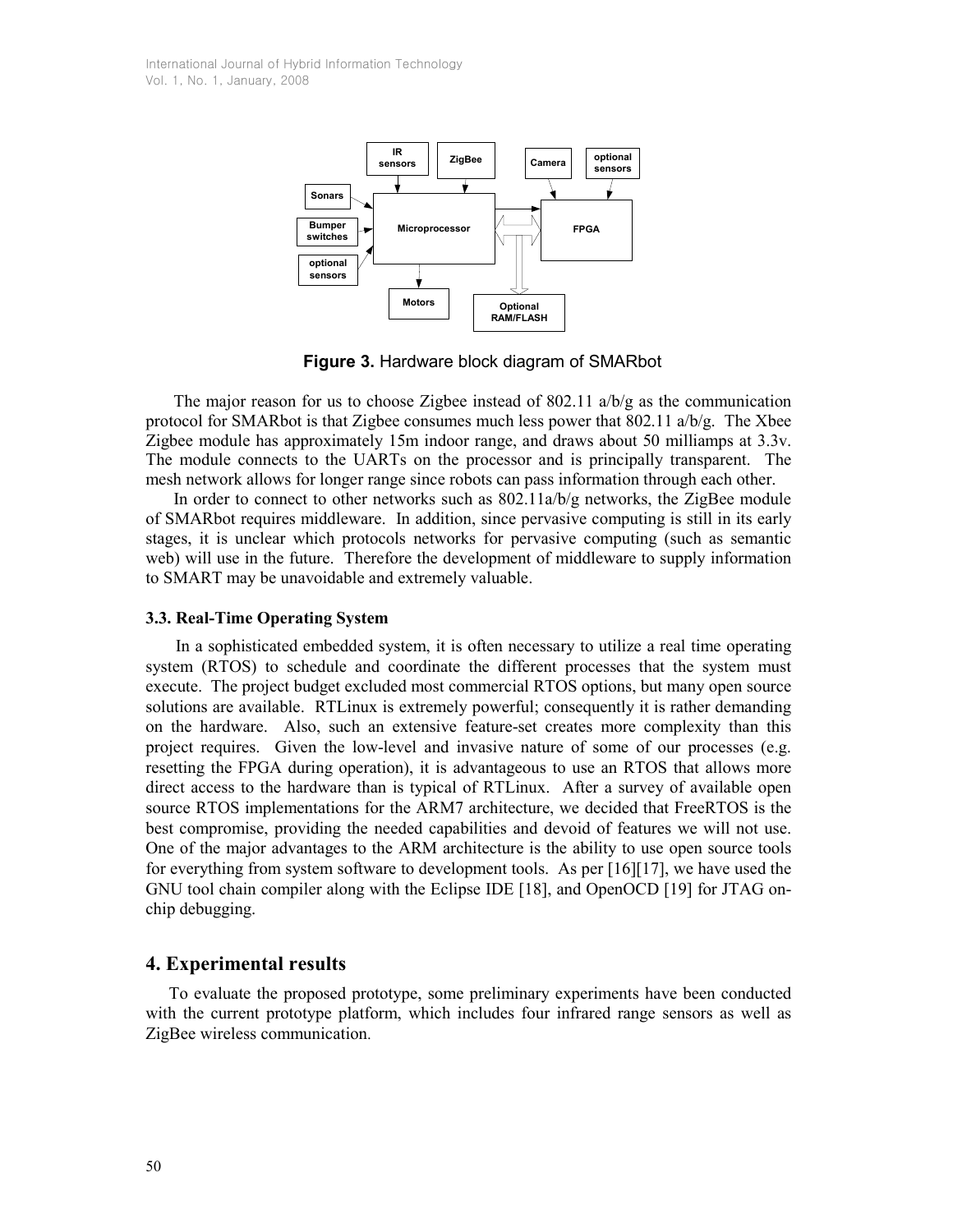

Figure 3. Hardware block diagram of SMARbot

The major reason for us to choose Zigbee instead of 802.11  $a/b/g$  as the communication protocol for SMARbot is that Zigbee consumes much less power that  $802.11$  a/b/g. The Xbee Zigbee module has approximately 15m indoor range, and draws about 50 milliamps at 3.3v. The module connects to the UARTs on the processor and is principally transparent. The mesh network allows for longer range since robots can pass information through each other.

In order to connect to other networks such as 802.11a/b/g networks, the ZigBee module of SMARbot requires middleware. In addition, since pervasive computing is still in its early stages, it is unclear which protocols networks for pervasive computing (such as semantic web) will use in the future. Therefore the development of middleware to supply information to SMART may be unavoidable and extremely valuable.

#### 3.3. Real-Time Operating System

 In a sophisticated embedded system, it is often necessary to utilize a real time operating system (RTOS) to schedule and coordinate the different processes that the system must execute. The project budget excluded most commercial RTOS options, but many open source solutions are available. RTLinux is extremely powerful; consequently it is rather demanding on the hardware. Also, such an extensive feature-set creates more complexity than this project requires. Given the low-level and invasive nature of some of our processes (e.g. resetting the FPGA during operation), it is advantageous to use an RTOS that allows more direct access to the hardware than is typical of RTLinux. After a survey of available open source RTOS implementations for the ARM7 architecture, we decided that FreeRTOS is the best compromise, providing the needed capabilities and devoid of features we will not use. One of the major advantages to the ARM architecture is the ability to use open source tools for everything from system software to development tools. As per [16][17], we have used the GNU tool chain compiler along with the Eclipse IDE [18], and OpenOCD [19] for JTAG onchip debugging.

## 4. Experimental results

 To evaluate the proposed prototype, some preliminary experiments have been conducted with the current prototype platform, which includes four infrared range sensors as well as ZigBee wireless communication.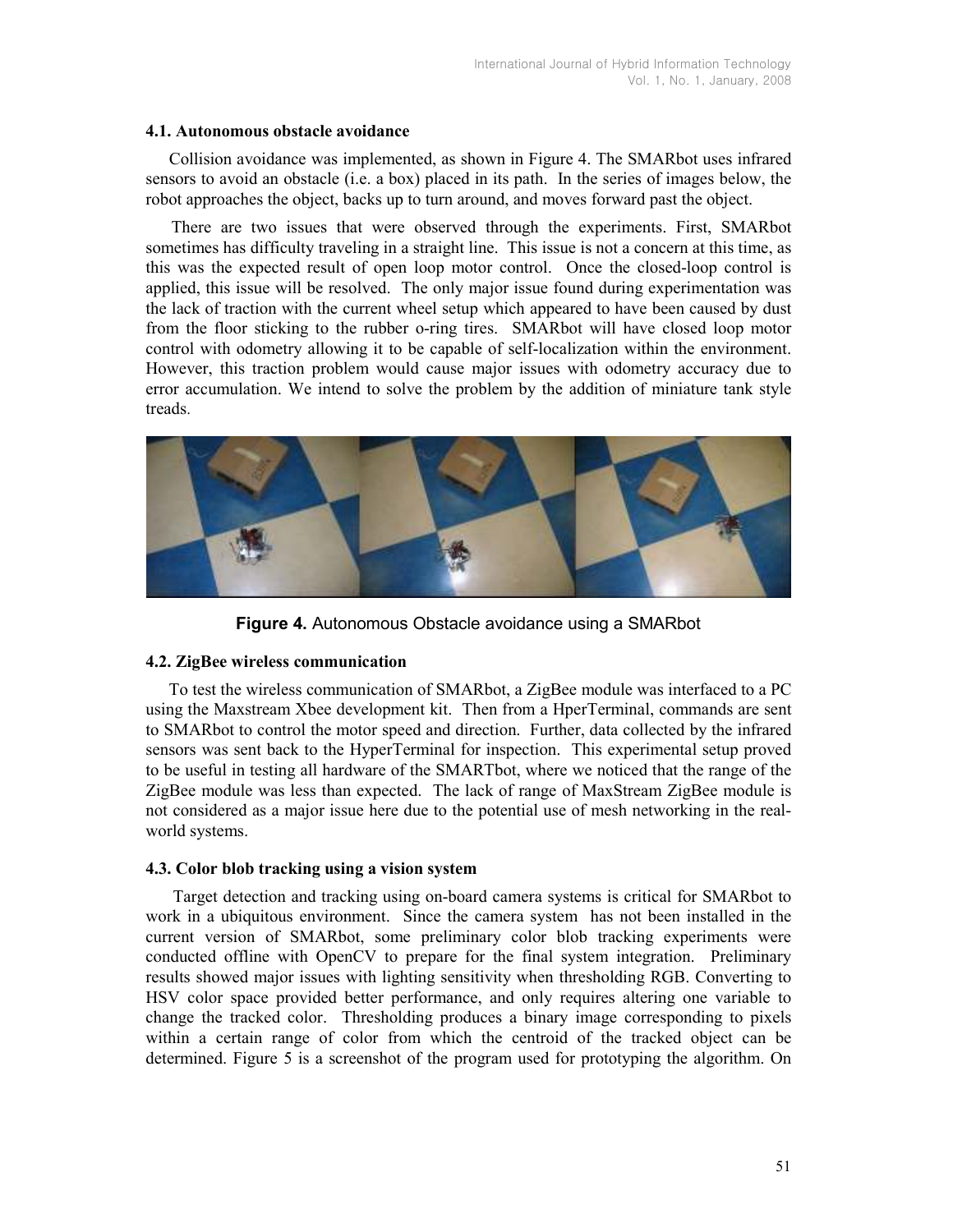#### 4.1. Autonomous obstacle avoidance

 Collision avoidance was implemented, as shown in Figure 4. The SMARbot uses infrared sensors to avoid an obstacle (i.e. a box) placed in its path. In the series of images below, the robot approaches the object, backs up to turn around, and moves forward past the object.

 There are two issues that were observed through the experiments. First, SMARbot sometimes has difficulty traveling in a straight line. This issue is not a concern at this time, as this was the expected result of open loop motor control. Once the closed-loop control is applied, this issue will be resolved. The only major issue found during experimentation was the lack of traction with the current wheel setup which appeared to have been caused by dust from the floor sticking to the rubber o-ring tires. SMARbot will have closed loop motor control with odometry allowing it to be capable of self-localization within the environment. However, this traction problem would cause major issues with odometry accuracy due to error accumulation. We intend to solve the problem by the addition of miniature tank style treads.



Figure 4. Autonomous Obstacle avoidance using a SMARbot

# 4.2. ZigBee wireless communication

 To test the wireless communication of SMARbot, a ZigBee module was interfaced to a PC using the Maxstream Xbee development kit. Then from a HperTerminal, commands are sent to SMARbot to control the motor speed and direction. Further, data collected by the infrared sensors was sent back to the HyperTerminal for inspection. This experimental setup proved to be useful in testing all hardware of the SMARTbot, where we noticed that the range of the ZigBee module was less than expected. The lack of range of MaxStream ZigBee module is not considered as a major issue here due to the potential use of mesh networking in the realworld systems.

## 4.3. Color blob tracking using a vision system

 Target detection and tracking using on-board camera systems is critical for SMARbot to work in a ubiquitous environment. Since the camera system has not been installed in the current version of SMARbot, some preliminary color blob tracking experiments were conducted offline with OpenCV to prepare for the final system integration. Preliminary results showed major issues with lighting sensitivity when thresholding RGB. Converting to HSV color space provided better performance, and only requires altering one variable to change the tracked color. Thresholding produces a binary image corresponding to pixels within a certain range of color from which the centroid of the tracked object can be determined. Figure 5 is a screenshot of the program used for prototyping the algorithm. On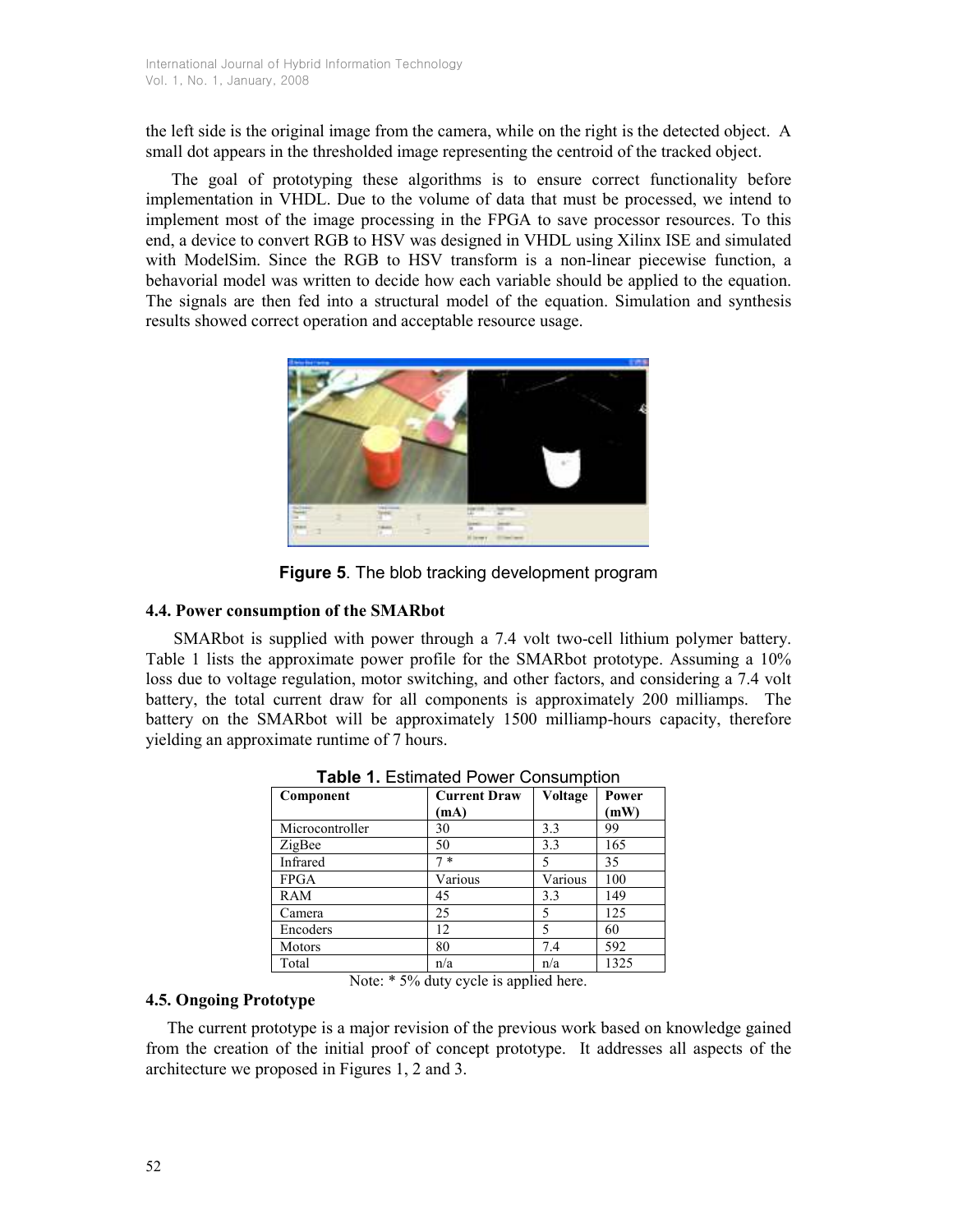the left side is the original image from the camera, while on the right is the detected object. A small dot appears in the thresholded image representing the centroid of the tracked object.

 The goal of prototyping these algorithms is to ensure correct functionality before implementation in VHDL. Due to the volume of data that must be processed, we intend to implement most of the image processing in the FPGA to save processor resources. To this end, a device to convert RGB to HSV was designed in VHDL using Xilinx ISE and simulated with ModelSim. Since the RGB to HSV transform is a non-linear piecewise function, a behavorial model was written to decide how each variable should be applied to the equation. The signals are then fed into a structural model of the equation. Simulation and synthesis results showed correct operation and acceptable resource usage.



Figure 5. The blob tracking development program

# 4.4. Power consumption of the SMARbot

SMARbot is supplied with power through a 7.4 volt two-cell lithium polymer battery. Table 1 lists the approximate power profile for the SMARbot prototype. Assuming a 10% loss due to voltage regulation, motor switching, and other factors, and considering a 7.4 volt battery, the total current draw for all components is approximately 200 milliamps. The battery on the SMARbot will be approximately 1500 milliamp-hours capacity, therefore yielding an approximate runtime of 7 hours.

| Component       | <b>Current Draw</b><br>(mA) | Voltage | Power<br>(mW) |
|-----------------|-----------------------------|---------|---------------|
| Microcontroller | 30                          | 3.3     | 99            |
| ZigBee          | 50                          | 3.3     | 165           |
| Infrared        | $\ast$                      | 5       | 35            |
| <b>FPGA</b>     | Various                     | Various | 100           |
| RAM             | 45                          | 3.3     | 149           |
| Camera          | 25                          | 5       | 125           |
| Encoders        | 12                          | 5       | 60            |
| <b>Motors</b>   | 80                          | 7.4     | 592           |
| Total           | n/a                         | n/a     | 1325          |

Table 1. Estimated Power Consumption

Note: \* 5% duty cycle is applied here.

# 4.5. Ongoing Prototype

 The current prototype is a major revision of the previous work based on knowledge gained from the creation of the initial proof of concept prototype. It addresses all aspects of the architecture we proposed in Figures 1, 2 and 3.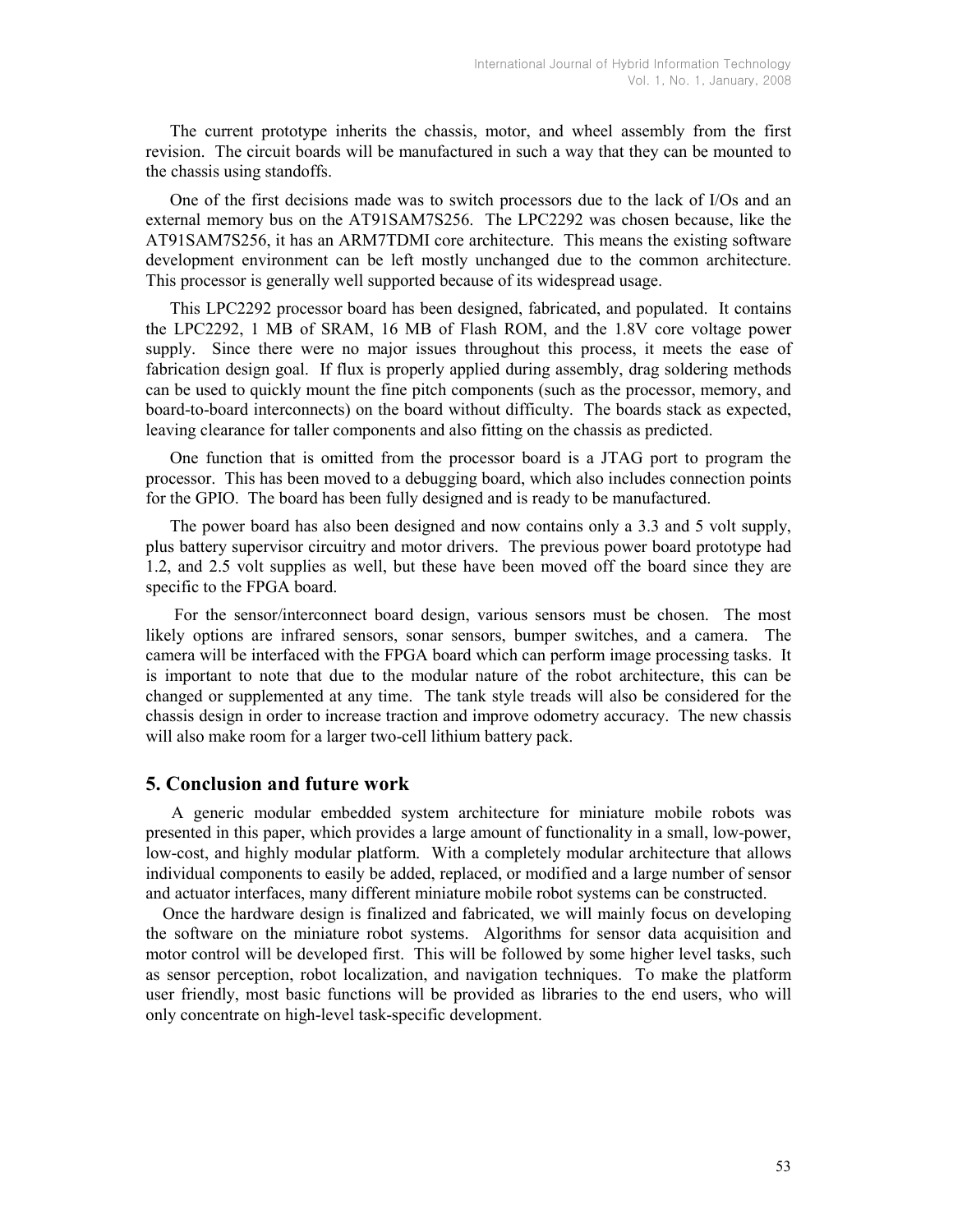The current prototype inherits the chassis, motor, and wheel assembly from the first revision. The circuit boards will be manufactured in such a way that they can be mounted to the chassis using standoffs.

 One of the first decisions made was to switch processors due to the lack of I/Os and an external memory bus on the AT91SAM7S256. The LPC2292 was chosen because, like the AT91SAM7S256, it has an ARM7TDMI core architecture. This means the existing software development environment can be left mostly unchanged due to the common architecture. This processor is generally well supported because of its widespread usage.

 This LPC2292 processor board has been designed, fabricated, and populated. It contains the LPC2292, 1 MB of SRAM, 16 MB of Flash ROM, and the 1.8V core voltage power supply. Since there were no major issues throughout this process, it meets the ease of fabrication design goal. If flux is properly applied during assembly, drag soldering methods can be used to quickly mount the fine pitch components (such as the processor, memory, and board-to-board interconnects) on the board without difficulty. The boards stack as expected, leaving clearance for taller components and also fitting on the chassis as predicted.

 One function that is omitted from the processor board is a JTAG port to program the processor. This has been moved to a debugging board, which also includes connection points for the GPIO. The board has been fully designed and is ready to be manufactured.

 The power board has also been designed and now contains only a 3.3 and 5 volt supply, plus battery supervisor circuitry and motor drivers. The previous power board prototype had 1.2, and 2.5 volt supplies as well, but these have been moved off the board since they are specific to the FPGA board.

 For the sensor/interconnect board design, various sensors must be chosen. The most likely options are infrared sensors, sonar sensors, bumper switches, and a camera. The camera will be interfaced with the FPGA board which can perform image processing tasks. It is important to note that due to the modular nature of the robot architecture, this can be changed or supplemented at any time. The tank style treads will also be considered for the chassis design in order to increase traction and improve odometry accuracy. The new chassis will also make room for a larger two-cell lithium battery pack.

## 5. Conclusion and future work

 A generic modular embedded system architecture for miniature mobile robots was presented in this paper, which provides a large amount of functionality in a small, low-power, low-cost, and highly modular platform. With a completely modular architecture that allows individual components to easily be added, replaced, or modified and a large number of sensor and actuator interfaces, many different miniature mobile robot systems can be constructed.

 Once the hardware design is finalized and fabricated, we will mainly focus on developing the software on the miniature robot systems. Algorithms for sensor data acquisition and motor control will be developed first. This will be followed by some higher level tasks, such as sensor perception, robot localization, and navigation techniques. To make the platform user friendly, most basic functions will be provided as libraries to the end users, who will only concentrate on high-level task-specific development.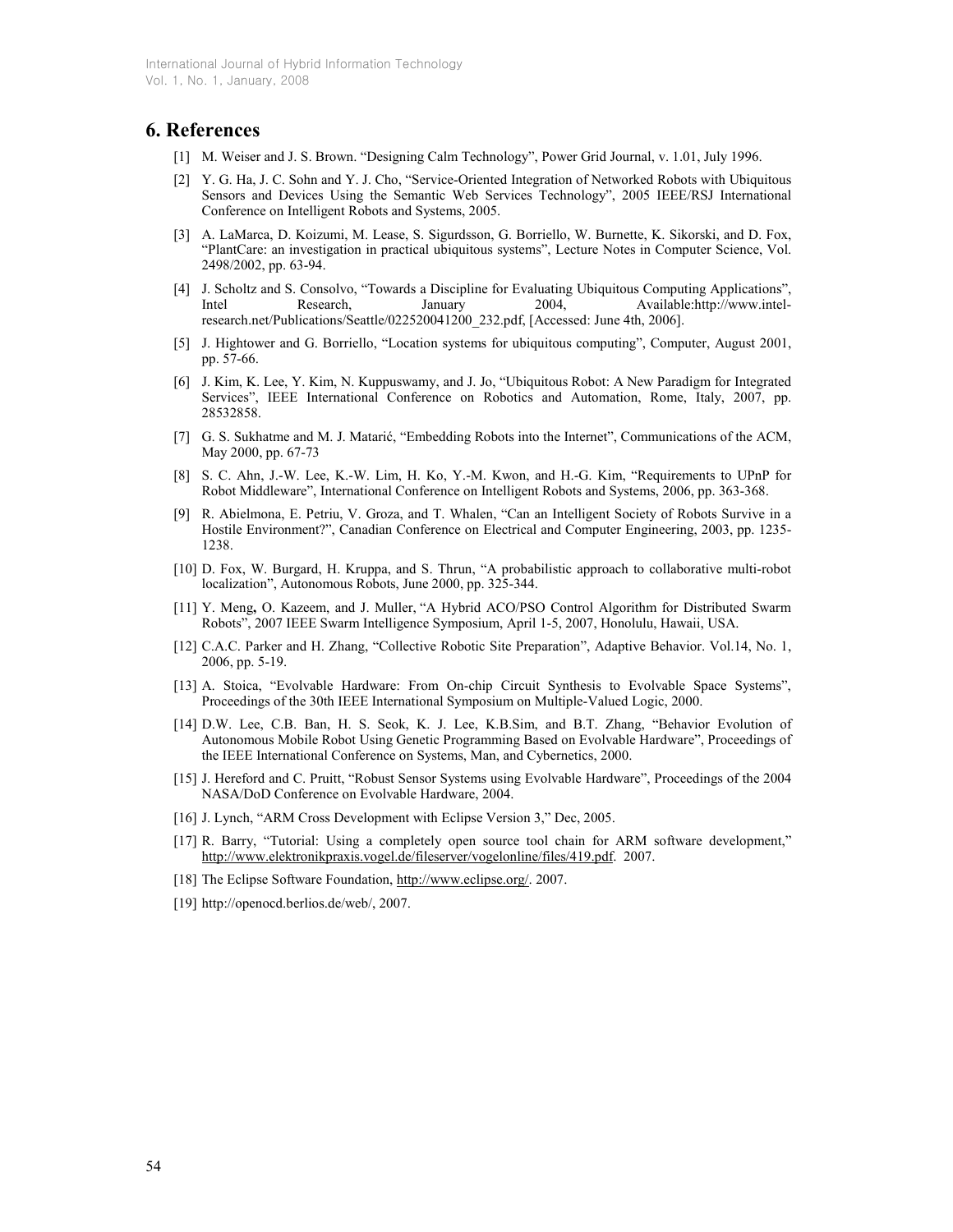### 6. References

- [1] M. Weiser and J. S. Brown. "Designing Calm Technology", Power Grid Journal, v. 1.01, July 1996.
- [2] Y. G. Ha, J. C. Sohn and Y. J. Cho, "Service-Oriented Integration of Networked Robots with Ubiquitous Sensors and Devices Using the Semantic Web Services Technology", 2005 IEEE/RSJ International Conference on Intelligent Robots and Systems, 2005.
- [3] A. LaMarca, D. Koizumi, M. Lease, S. Sigurdsson, G. Borriello, W. Burnette, K. Sikorski, and D. Fox, "PlantCare: an investigation in practical ubiquitous systems", Lecture Notes in Computer Science, Vol. 2498/2002, pp. 63-94.
- [4] J. Scholtz and S. Consolvo, "Towards a Discipline for Evaluating Ubiquitous Computing Applications", Intel Research, January 2004, Available:http://www.intelresearch.net/Publications/Seattle/022520041200\_232.pdf, [Accessed: June 4th, 2006].
- [5] J. Hightower and G. Borriello, "Location systems for ubiquitous computing", Computer, August 2001, pp. 57-66.
- [6] J. Kim, K. Lee, Y. Kim, N. Kuppuswamy, and J. Jo, "Ubiquitous Robot: A New Paradigm for Integrated Services", IEEE International Conference on Robotics and Automation, Rome, Italy, 2007, pp. 28532858.
- [7] G. S. Sukhatme and M. J. Matarić, "Embedding Robots into the Internet", Communications of the ACM, May 2000, pp. 67-73
- [8] S. C. Ahn, J.-W. Lee, K.-W. Lim, H. Ko, Y.-M. Kwon, and H.-G. Kim, "Requirements to UPnP for Robot Middleware", International Conference on Intelligent Robots and Systems, 2006, pp. 363-368.
- [9] R. Abielmona, E. Petriu, V. Groza, and T. Whalen, "Can an Intelligent Society of Robots Survive in a Hostile Environment?", Canadian Conference on Electrical and Computer Engineering, 2003, pp. 1235- 1238.
- [10] D. Fox, W. Burgard, H. Kruppa, and S. Thrun, "A probabilistic approach to collaborative multi-robot localization", Autonomous Robots, June 2000, pp. 325-344.
- [11] Y. Meng, O. Kazeem, and J. Muller, "A Hybrid ACO/PSO Control Algorithm for Distributed Swarm Robots", 2007 IEEE Swarm Intelligence Symposium, April 1-5, 2007, Honolulu, Hawaii, USA.
- [12] C.A.C. Parker and H. Zhang, "Collective Robotic Site Preparation", Adaptive Behavior. Vol.14, No. 1, 2006, pp. 5-19.
- [13] A. Stoica, "Evolvable Hardware: From On-chip Circuit Synthesis to Evolvable Space Systems", Proceedings of the 30th IEEE International Symposium on Multiple-Valued Logic, 2000.
- [14] D.W. Lee, C.B. Ban, H. S. Seok, K. J. Lee, K.B.Sim, and B.T. Zhang, "Behavior Evolution of Autonomous Mobile Robot Using Genetic Programming Based on Evolvable Hardware", Proceedings of the IEEE International Conference on Systems, Man, and Cybernetics, 2000.
- [15] J. Hereford and C. Pruitt, "Robust Sensor Systems using Evolvable Hardware", Proceedings of the 2004 NASA/DoD Conference on Evolvable Hardware, 2004.
- [16] J. Lynch, "ARM Cross Development with Eclipse Version 3," Dec, 2005.
- [17] R. Barry, "Tutorial: Using a completely open source tool chain for ARM software development," http://www.elektronikpraxis.vogel.de/fileserver/vogelonline/files/419.pdf. 2007.
- [18] The Eclipse Software Foundation, http://www.eclipse.org/. 2007.
- [19] http://openocd.berlios.de/web/, 2007.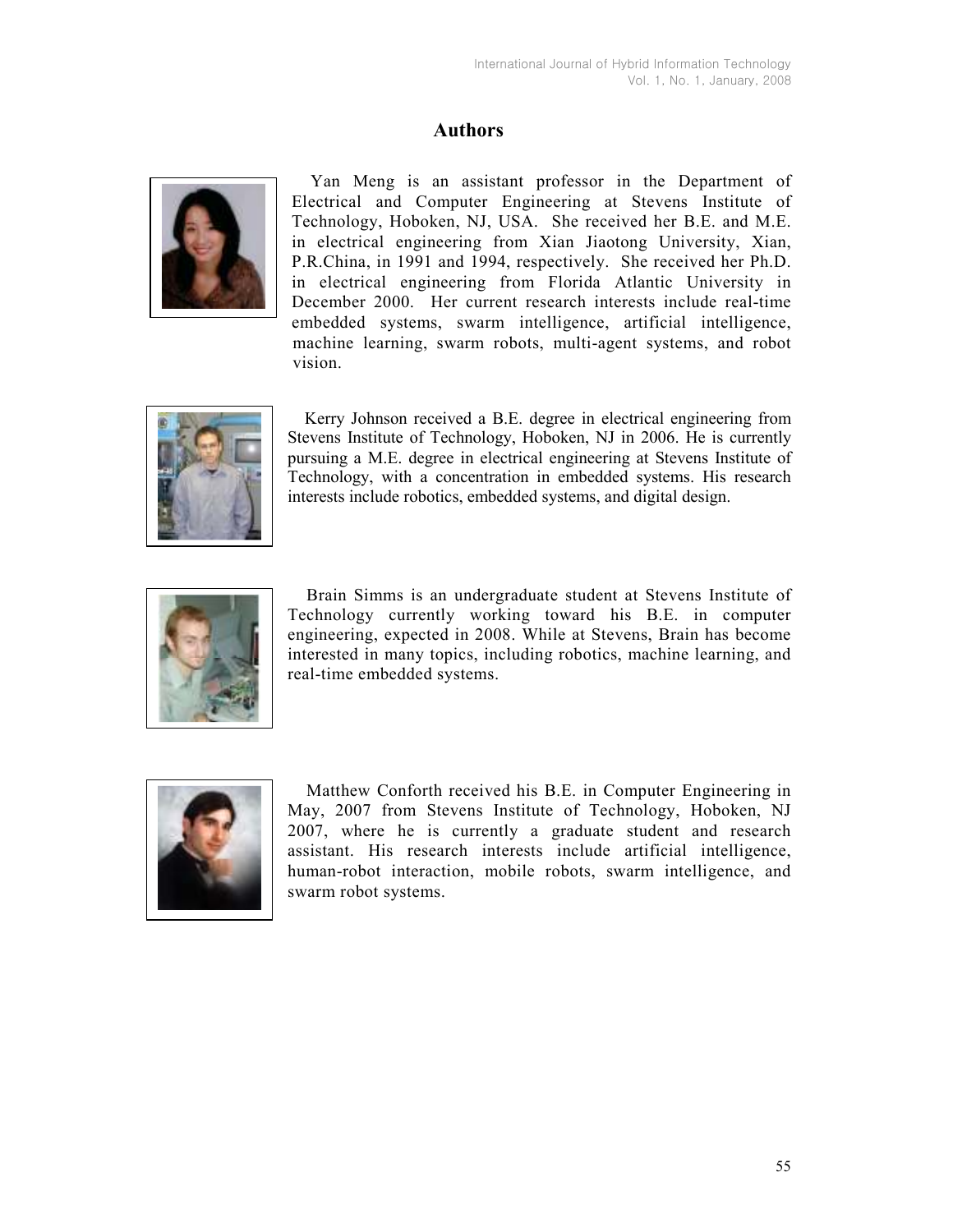# Authors



Yan Meng is an assistant professor in the Department of Electrical and Computer Engineering at Stevens Institute of Technology, Hoboken, NJ, USA. She received her B.E. and M.E. in electrical engineering from Xian Jiaotong University, Xian, P.R.China, in 1991 and 1994, respectively. She received her Ph.D. in electrical engineering from Florida Atlantic University in December 2000. Her current research interests include real-time embedded systems, swarm intelligence, artificial intelligence, machine learning, swarm robots, multi-agent systems, and robot vision.



 Kerry Johnson received a B.E. degree in electrical engineering from Stevens Institute of Technology, Hoboken, NJ in 2006. He is currently pursuing a M.E. degree in electrical engineering at Stevens Institute of Technology, with a concentration in embedded systems. His research interests include robotics, embedded systems, and digital design.



Brain Simms is an undergraduate student at Stevens Institute of Technology currently working toward his B.E. in computer engineering, expected in 2008. While at Stevens, Brain has become interested in many topics, including robotics, machine learning, and real-time embedded systems.



Matthew Conforth received his B.E. in Computer Engineering in May, 2007 from Stevens Institute of Technology, Hoboken, NJ 2007, where he is currently a graduate student and research assistant. His research interests include artificial intelligence, human-robot interaction, mobile robots, swarm intelligence, and swarm robot systems.